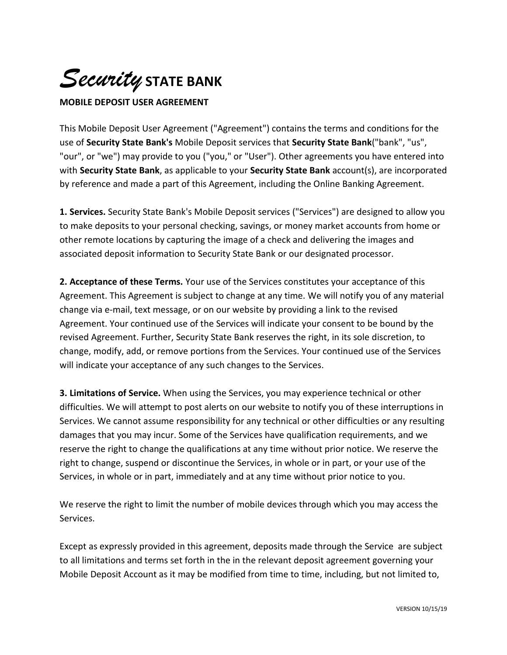

## **MOBILE DEPOSIT USER AGREEMENT**

This Mobile Deposit User Agreement ("Agreement") contains the terms and conditions for the use of **Security State Bank's** Mobile Deposit services that **Security State Bank**("bank", "us", "our", or "we") may provide to you ("you," or "User"). Other agreements you have entered into with **Security State Bank**, as applicable to your **Security State Bank** account(s), are incorporated by reference and made a part of this Agreement, including the Online Banking Agreement.

**1. Services.** Security State Bank's Mobile Deposit services ("Services") are designed to allow you to make deposits to your personal checking, savings, or money market accounts from home or other remote locations by capturing the image of a check and delivering the images and associated deposit information to Security State Bank or our designated processor.

**2. Acceptance of these Terms.** Your use of the Services constitutes your acceptance of this Agreement. This Agreement is subject to change at any time. We will notify you of any material change via e-mail, text message, or on our website by providing a link to the revised Agreement. Your continued use of the Services will indicate your consent to be bound by the revised Agreement. Further, Security State Bank reserves the right, in its sole discretion, to change, modify, add, or remove portions from the Services. Your continued use of the Services will indicate your acceptance of any such changes to the Services.

**3. Limitations of Service.** When using the Services, you may experience technical or other difficulties. We will attempt to post alerts on our website to notify you of these interruptions in Services. We cannot assume responsibility for any technical or other difficulties or any resulting damages that you may incur. Some of the Services have qualification requirements, and we reserve the right to change the qualifications at any time without prior notice. We reserve the right to change, suspend or discontinue the Services, in whole or in part, or your use of the Services, in whole or in part, immediately and at any time without prior notice to you.

We reserve the right to limit the number of mobile devices through which you may access the Services.

Except as expressly provided in this agreement, deposits made through the Service are subject to all limitations and terms set forth in the in the relevant deposit agreement governing your Mobile Deposit Account as it may be modified from time to time, including, but not limited to,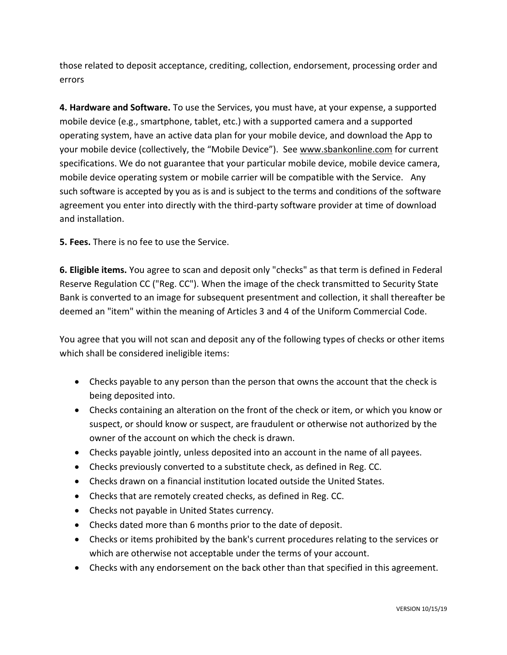those related to deposit acceptance, crediting, collection, endorsement, processing order and errors

**4. Hardware and Software.** To use the Services, you must have, at your expense, a supported mobile device (e.g., smartphone, tablet, etc.) with a supported camera and a supported operating system, have an active data plan for your mobile device, and download the App to your mobile device (collectively, the "Mobile Device"). See [www.sbankonline.com](http://www.sbankonline.com/) for current specifications. We do not guarantee that your particular mobile device, mobile device camera, mobile device operating system or mobile carrier will be compatible with the Service. Any such software is accepted by you as is and is subject to the terms and conditions of the software agreement you enter into directly with the third-party software provider at time of download and installation.

**5. Fees.** There is no fee to use the Service.

**6. Eligible items.** You agree to scan and deposit only "checks" as that term is defined in Federal Reserve Regulation CC ("Reg. CC"). When the image of the check transmitted to Security State Bank is converted to an image for subsequent presentment and collection, it shall thereafter be deemed an "item" within the meaning of Articles 3 and 4 of the Uniform Commercial Code.

You agree that you will not scan and deposit any of the following types of checks or other items which shall be considered ineligible items:

- Checks payable to any person than the person that owns the account that the check is being deposited into.
- Checks containing an alteration on the front of the check or item, or which you know or suspect, or should know or suspect, are fraudulent or otherwise not authorized by the owner of the account on which the check is drawn.
- Checks payable jointly, unless deposited into an account in the name of all payees.
- Checks previously converted to a substitute check, as defined in Reg. CC.
- Checks drawn on a financial institution located outside the United States.
- Checks that are remotely created checks, as defined in Reg. CC.
- Checks not payable in United States currency.
- Checks dated more than 6 months prior to the date of deposit.
- Checks or items prohibited by the bank's current procedures relating to the services or which are otherwise not acceptable under the terms of your account.
- Checks with any endorsement on the back other than that specified in this agreement.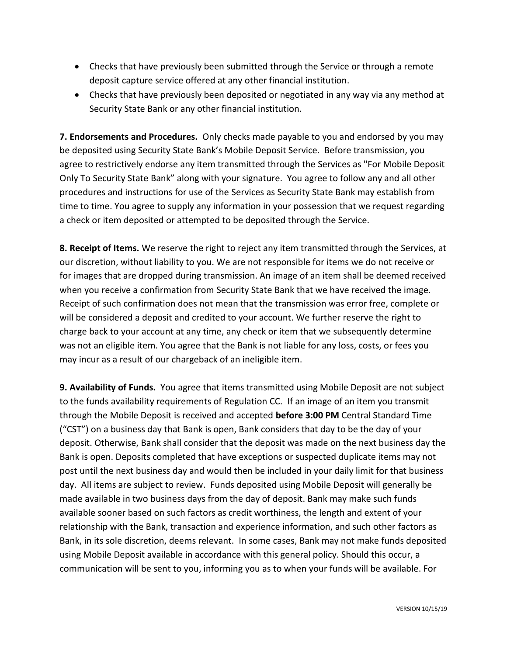- Checks that have previously been submitted through the Service or through a remote deposit capture service offered at any other financial institution.
- Checks that have previously been deposited or negotiated in any way via any method at Security State Bank or any other financial institution.

**7. Endorsements and Procedures.** Only checks made payable to you and endorsed by you may be deposited using Security State Bank's Mobile Deposit Service. Before transmission, you agree to restrictively endorse any item transmitted through the Services as "For Mobile Deposit Only To Security State Bank" along with your signature. You agree to follow any and all other procedures and instructions for use of the Services as Security State Bank may establish from time to time. You agree to supply any information in your possession that we request regarding a check or item deposited or attempted to be deposited through the Service.

**8. Receipt of Items.** We reserve the right to reject any item transmitted through the Services, at our discretion, without liability to you. We are not responsible for items we do not receive or for images that are dropped during transmission. An image of an item shall be deemed received when you receive a confirmation from Security State Bank that we have received the image. Receipt of such confirmation does not mean that the transmission was error free, complete or will be considered a deposit and credited to your account. We further reserve the right to charge back to your account at any time, any check or item that we subsequently determine was not an eligible item. You agree that the Bank is not liable for any loss, costs, or fees you may incur as a result of our chargeback of an ineligible item.

**9. Availability of Funds.** You agree that items transmitted using Mobile Deposit are not subject to the funds availability requirements of Regulation CC. If an image of an item you transmit through the Mobile Deposit is received and accepted **before 3:00 PM** Central Standard Time ("CST") on a business day that Bank is open, Bank considers that day to be the day of your deposit. Otherwise, Bank shall consider that the deposit was made on the next business day the Bank is open. Deposits completed that have exceptions or suspected duplicate items may not post until the next business day and would then be included in your daily limit for that business day. All items are subject to review. Funds deposited using Mobile Deposit will generally be made available in two business days from the day of deposit. Bank may make such funds available sooner based on such factors as credit worthiness, the length and extent of your relationship with the Bank, transaction and experience information, and such other factors as Bank, in its sole discretion, deems relevant. In some cases, Bank may not make funds deposited using Mobile Deposit available in accordance with this general policy. Should this occur, a communication will be sent to you, informing you as to when your funds will be available. For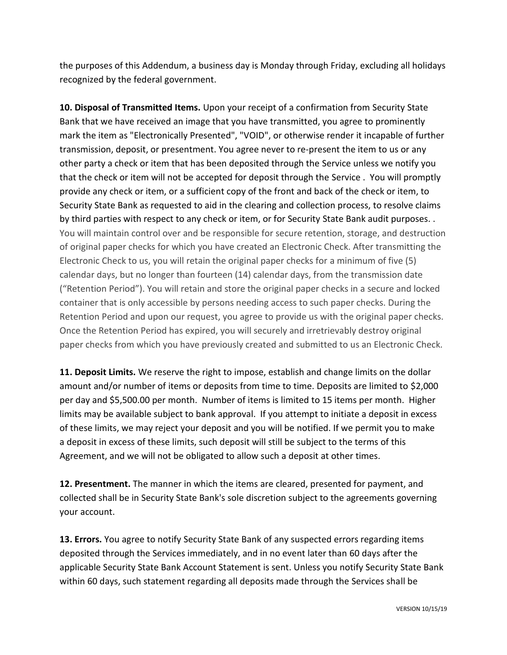the purposes of this Addendum, a business day is Monday through Friday, excluding all holidays recognized by the federal government.

**10. Disposal of Transmitted Items.** Upon your receipt of a confirmation from Security State Bank that we have received an image that you have transmitted, you agree to prominently mark the item as "Electronically Presented", "VOID", or otherwise render it incapable of further transmission, deposit, or presentment. You agree never to re-present the item to us or any other party a check or item that has been deposited through the Service unless we notify you that the check or item will not be accepted for deposit through the Service . You will promptly provide any check or item, or a sufficient copy of the front and back of the check or item, to Security State Bank as requested to aid in the clearing and collection process, to resolve claims by third parties with respect to any check or item, or for Security State Bank audit purposes. . You will maintain control over and be responsible for secure retention, storage, and destruction of original paper checks for which you have created an Electronic Check. After transmitting the Electronic Check to us, you will retain the original paper checks for a minimum of five (5) calendar days, but no longer than fourteen (14) calendar days, from the transmission date ("Retention Period"). You will retain and store the original paper checks in a secure and locked container that is only accessible by persons needing access to such paper checks. During the Retention Period and upon our request, you agree to provide us with the original paper checks. Once the Retention Period has expired, you will securely and irretrievably destroy original paper checks from which you have previously created and submitted to us an Electronic Check.

**11. Deposit Limits.** We reserve the right to impose, establish and change limits on the dollar amount and/or number of items or deposits from time to time. Deposits are limited to \$2,000 per day and \$5,500.00 per month. Number of items is limited to 15 items per month. Higher limits may be available subject to bank approval. If you attempt to initiate a deposit in excess of these limits, we may reject your deposit and you will be notified. If we permit you to make a deposit in excess of these limits, such deposit will still be subject to the terms of this Agreement, and we will not be obligated to allow such a deposit at other times.

**12. Presentment.** The manner in which the items are cleared, presented for payment, and collected shall be in Security State Bank's sole discretion subject to the agreements governing your account.

**13. Errors.** You agree to notify Security State Bank of any suspected errors regarding items deposited through the Services immediately, and in no event later than 60 days after the applicable Security State Bank Account Statement is sent. Unless you notify Security State Bank within 60 days, such statement regarding all deposits made through the Services shall be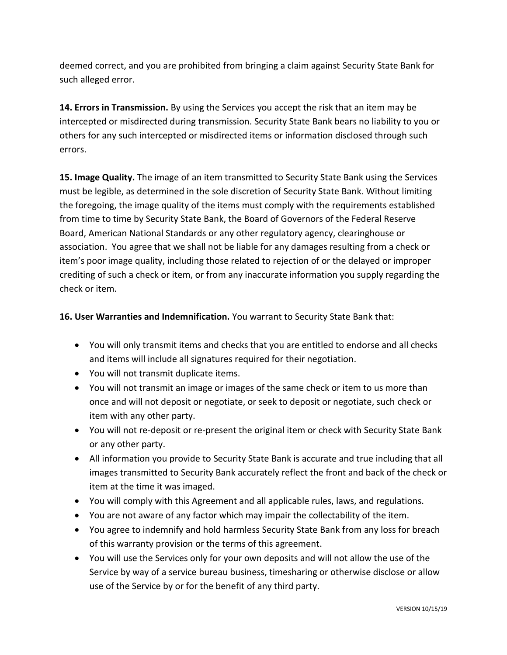deemed correct, and you are prohibited from bringing a claim against Security State Bank for such alleged error.

**14. Errors in Transmission.** By using the Services you accept the risk that an item may be intercepted or misdirected during transmission. Security State Bank bears no liability to you or others for any such intercepted or misdirected items or information disclosed through such errors.

**15. Image Quality.** The image of an item transmitted to Security State Bank using the Services must be legible, as determined in the sole discretion of Security State Bank. Without limiting the foregoing, the image quality of the items must comply with the requirements established from time to time by Security State Bank, the Board of Governors of the Federal Reserve Board, American National Standards or any other regulatory agency, clearinghouse or association. You agree that we shall not be liable for any damages resulting from a check or item's poor image quality, including those related to rejection of or the delayed or improper crediting of such a check or item, or from any inaccurate information you supply regarding the check or item.

**16. User Warranties and Indemnification.** You warrant to Security State Bank that:

- You will only transmit items and checks that you are entitled to endorse and all checks and items will include all signatures required for their negotiation.
- You will not transmit duplicate items.
- You will not transmit an image or images of the same check or item to us more than once and will not deposit or negotiate, or seek to deposit or negotiate, such check or item with any other party.
- You will not re-deposit or re-present the original item or check with Security State Bank or any other party.
- All information you provide to Security State Bank is accurate and true including that all images transmitted to Security Bank accurately reflect the front and back of the check or item at the time it was imaged.
- You will comply with this Agreement and all applicable rules, laws, and regulations.
- You are not aware of any factor which may impair the collectability of the item.
- You agree to indemnify and hold harmless Security State Bank from any loss for breach of this warranty provision or the terms of this agreement.
- You will use the Services only for your own deposits and will not allow the use of the Service by way of a service bureau business, timesharing or otherwise disclose or allow use of the Service by or for the benefit of any third party.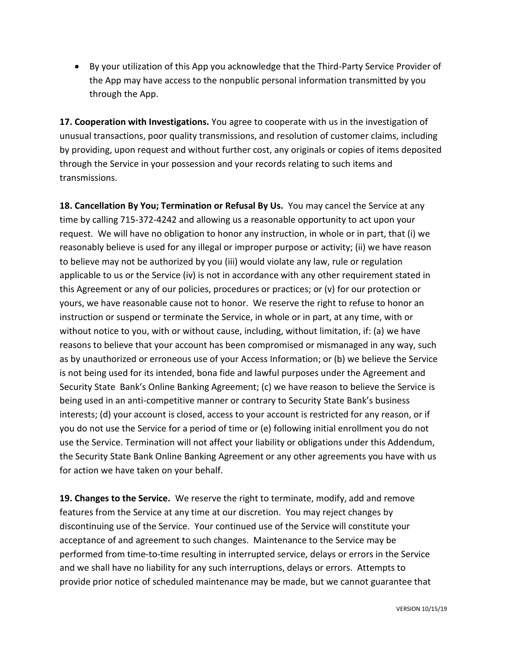• By your utilization of this App you acknowledge that the Third-Party Service Provider of the App may have access to the nonpublic personal information transmitted by you through the App.

**17. Cooperation with Investigations.** You agree to cooperate with us in the investigation of unusual transactions, poor quality transmissions, and resolution of customer claims, including by providing, upon request and without further cost, any originals or copies of items deposited through the Service in your possession and your records relating to such items and transmissions.

**18. Cancellation By You; Termination or Refusal By Us.** You may cancel the Service at any time by calling 715-372-4242 and allowing us a reasonable opportunity to act upon your request. We will have no obligation to honor any instruction, in whole or in part, that (i) we reasonably believe is used for any illegal or improper purpose or activity; (ii) we have reason to believe may not be authorized by you (iii) would violate any law, rule or regulation applicable to us or the Service (iv) is not in accordance with any other requirement stated in this Agreement or any of our policies, procedures or practices; or (v) for our protection or yours, we have reasonable cause not to honor. We reserve the right to refuse to honor an instruction or suspend or terminate the Service, in whole or in part, at any time, with or without notice to you, with or without cause, including, without limitation, if: (a) we have reasons to believe that your account has been compromised or mismanaged in any way, such as by unauthorized or erroneous use of your Access Information; or (b) we believe the Service is not being used for its intended, bona fide and lawful purposes under the Agreement and Security State Bank's Online Banking Agreement; (c) we have reason to believe the Service is being used in an anti-competitive manner or contrary to Security State Bank's business interests; (d) your account is closed, access to your account is restricted for any reason, or if you do not use the Service for a period of time or (e) following initial enrollment you do not use the Service. Termination will not affect your liability or obligations under this Addendum, the Security State Bank Online Banking Agreement or any other agreements you have with us for action we have taken on your behalf.

**19. Changes to the Service.** We reserve the right to terminate, modify, add and remove features from the Service at any time at our discretion. You may reject changes by discontinuing use of the Service. Your continued use of the Service will constitute your acceptance of and agreement to such changes. Maintenance to the Service may be performed from time-to-time resulting in interrupted service, delays or errors in the Service and we shall have no liability for any such interruptions, delays or errors. Attempts to provide prior notice of scheduled maintenance may be made, but we cannot guarantee that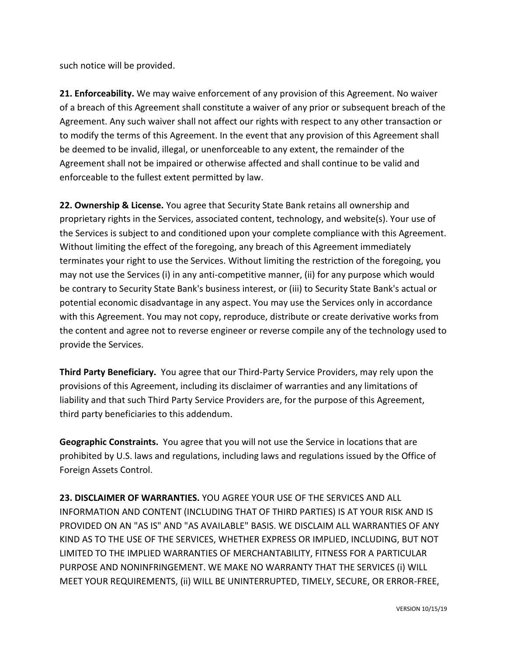such notice will be provided.

**21. Enforceability.** We may waive enforcement of any provision of this Agreement. No waiver of a breach of this Agreement shall constitute a waiver of any prior or subsequent breach of the Agreement. Any such waiver shall not affect our rights with respect to any other transaction or to modify the terms of this Agreement. In the event that any provision of this Agreement shall be deemed to be invalid, illegal, or unenforceable to any extent, the remainder of the Agreement shall not be impaired or otherwise affected and shall continue to be valid and enforceable to the fullest extent permitted by law.

**22. Ownership & License.** You agree that Security State Bank retains all ownership and proprietary rights in the Services, associated content, technology, and website(s). Your use of the Services is subject to and conditioned upon your complete compliance with this Agreement. Without limiting the effect of the foregoing, any breach of this Agreement immediately terminates your right to use the Services. Without limiting the restriction of the foregoing, you may not use the Services (i) in any anti-competitive manner, (ii) for any purpose which would be contrary to Security State Bank's business interest, or (iii) to Security State Bank's actual or potential economic disadvantage in any aspect. You may use the Services only in accordance with this Agreement. You may not copy, reproduce, distribute or create derivative works from the content and agree not to reverse engineer or reverse compile any of the technology used to provide the Services.

**Third Party Beneficiary.** You agree that our Third-Party Service Providers, may rely upon the provisions of this Agreement, including its disclaimer of warranties and any limitations of liability and that such Third Party Service Providers are, for the purpose of this Agreement, third party beneficiaries to this addendum.

**Geographic Constraints.** You agree that you will not use the Service in locations that are prohibited by U.S. laws and regulations, including laws and regulations issued by the Office of Foreign Assets Control.

**23. DISCLAIMER OF WARRANTIES.** YOU AGREE YOUR USE OF THE SERVICES AND ALL INFORMATION AND CONTENT (INCLUDING THAT OF THIRD PARTIES) IS AT YOUR RISK AND IS PROVIDED ON AN "AS IS" AND "AS AVAILABLE" BASIS. WE DISCLAIM ALL WARRANTIES OF ANY KIND AS TO THE USE OF THE SERVICES, WHETHER EXPRESS OR IMPLIED, INCLUDING, BUT NOT LIMITED TO THE IMPLIED WARRANTIES OF MERCHANTABILITY, FITNESS FOR A PARTICULAR PURPOSE AND NONINFRINGEMENT. WE MAKE NO WARRANTY THAT THE SERVICES (i) WILL MEET YOUR REQUIREMENTS, (ii) WILL BE UNINTERRUPTED, TIMELY, SECURE, OR ERROR-FREE,